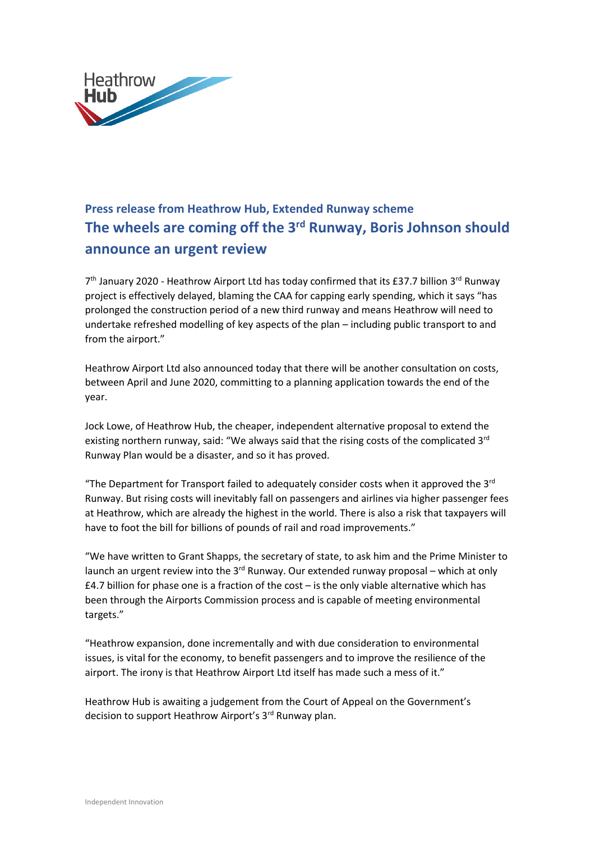

## **Press release from Heathrow Hub, Extended Runway scheme The wheels are coming off the 3rd Runway, Boris Johnson should announce an urgent review**

7<sup>th</sup> January 2020 - Heathrow Airport Ltd has today confirmed that its £37.7 billion 3<sup>rd</sup> Runway project is effectively delayed, blaming the CAA for capping early spending, which it says "has prolonged the construction period of a new third runway and means Heathrow will need to undertake refreshed modelling of key aspects of the plan – including public transport to and from the airport."

Heathrow Airport Ltd also announced today that there will be another consultation on costs, between April and June 2020, committing to a planning application towards the end of the year.

Jock Lowe, of Heathrow Hub, the cheaper, independent alternative proposal to extend the existing northern runway, said: "We always said that the rising costs of the complicated  $3<sup>rd</sup>$ Runway Plan would be a disaster, and so it has proved.

"The Department for Transport failed to adequately consider costs when it approved the  $3^{rd}$ Runway. But rising costs will inevitably fall on passengers and airlines via higher passenger fees at Heathrow, which are already the highest in the world. There is also a risk that taxpayers will have to foot the bill for billions of pounds of rail and road improvements."

"We have written to Grant Shapps, the secretary of state, to ask him and the Prime Minister to launch an urgent review into the  $3<sup>rd</sup>$  Runway. Our extended runway proposal – which at only £4.7 billion for phase one is a fraction of the cost – is the only viable alternative which has been through the Airports Commission process and is capable of meeting environmental targets."

"Heathrow expansion, done incrementally and with due consideration to environmental issues, is vital for the economy, to benefit passengers and to improve the resilience of the airport. The irony is that Heathrow Airport Ltd itself has made such a mess of it."

Heathrow Hub is awaiting a judgement from the Court of Appeal on the Government's decision to support Heathrow Airport's 3<sup>rd</sup> Runway plan.